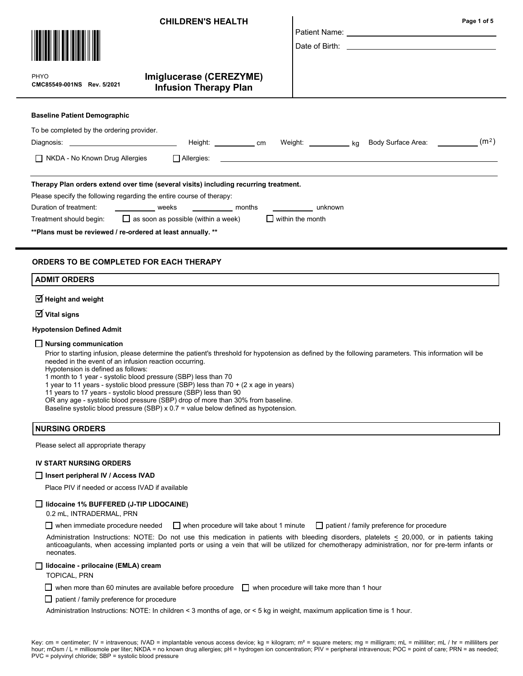|                                                                                          | <b>CHILDREN'S HEALTH</b>                                                             |                                                                           |  | Page 1 of 5 |
|------------------------------------------------------------------------------------------|--------------------------------------------------------------------------------------|---------------------------------------------------------------------------|--|-------------|
| PHYO<br>CMC85549-001NS Rev. 5/2021                                                       | Imiglucerase (CEREZYME)<br><b>Infusion Therapy Plan</b>                              |                                                                           |  |             |
| <b>Baseline Patient Demographic</b>                                                      |                                                                                      |                                                                           |  |             |
| To be completed by the ordering provider.<br>Diagnosis: ________________________________ | Height: cm                                                                           | Weight: ____________ kg Body Surface Area: ____________ (m <sup>2</sup> ) |  |             |
| NKDA - No Known Drug Allergies                                                           | $\Box$ Allergies:                                                                    |                                                                           |  |             |
|                                                                                          | Therapy Plan orders extend over time (several visits) including recurring treatment. |                                                                           |  |             |

Please specify the following regarding the entire course of therapy:

| Duration of treatment:  | weeks                                      | months | unknown                 |
|-------------------------|--------------------------------------------|--------|-------------------------|
| Treatment should begin: | $\Box$ as soon as possible (within a week) |        | $\Box$ within the month |

\*\*Plans must be reviewed / re-ordered at least annually. \*\*

## ORDERS TO BE COMPLETED FOR EACH THERAPY

### ADMIT ORDERS

 $\overline{\textsf{M}}$  Height and weight

 $\overline{\textsf{y}}$  Vital signs

#### Hypotension Defined Admit

#### $\Box$  Nursing communication

Prior to starting infusion, please determine the patient's threshold for hypotension as defined by the following parameters. This information will be needed in the event of an infusion reaction occurring.

Hypotension is defined as follows:

1 month to 1 year - systolic blood pressure (SBP) less than 70

1 year to 11 years - systolic blood pressure (SBP) less than 70 + (2 x age in years)

11 years to 17 years - systolic blood pressure (SBP) less than 90

OR any age - systolic blood pressure (SBP) drop of more than 30% from baseline.

Baseline systolic blood pressure (SBP)  $x$  0.7 = value below defined as hypotension.

### NURSING ORDERS

Please select all appropriate therapy

#### IV START NURSING ORDERS

### □ Insert peripheral IV / Access IVAD

Place PIV if needed or access IVAD if available

#### $\Box$  lidocaine 1% BUFFERED (J-TIP LIDOCAINE)

0.2 mL, INTRADERMAL, PRN

when immediate procedure needed  $\Box$  when procedure will take about 1 minute  $\Box$  patient / family preference for procedure

Administration Instructions: NOTE: Do not use this medication in patients with bleeding disorders, platelets  $\leq$  20,000, or in patients taking anticoagulants, when accessing implanted ports or using a vein that will be utilized for chemotherapy administration, nor for pre-term infants or neonates.

#### $\Box$  lidocaine - prilocaine (EMLA) cream

TOPICAL, PRN

 $\Box$  when more than 60 minutes are available before procedure  $\Box$  when procedure will take more than 1 hour

 $\Box$  patient / family preference for procedure

Administration Instructions: NOTE: In children < 3 months of age, or < 5 kg in weight, maximum application time is 1 hour.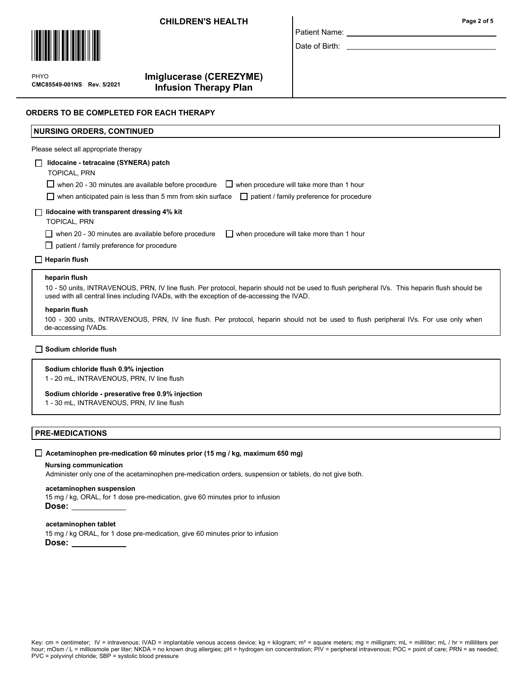## CHILDREN'S HEALTH Page 2 of 5



 $\mathbf{P}$ CMC85549-001NS Rev. 5/2021 PHYO

# Imiglucerase (CEREZYME) Infusion Therapy Plan

| Patient Name: |  |
|---------------|--|

Date of Birth:

## ORDERS TO BE COMPLETED FOR EACH THERAPY

# NURSING ORDERS, CONTINUED

Please select all appropriate therapy

### lidocaine - tetracaine (SYNERA) patch

TOPICAL, PRN

 $\Box$  when 20 - 30 minutes are available before procedure  $\quad \Box$  when procedure will take more than 1 hour

 $\Box$  when anticipated pain is less than 5 mm from skin surface  $\Box$  patient / family preference for procedure

### $\Box$  lidocaine with transparent dressing 4% kit

TOPICAL, PRN

when 20 - 30 minutes are available before procedure  $\Box$  when procedure will take more than 1 hour

 $\Box$  patient / family preference for procedure

### $\Box$  Heparin flush

### heparin flush

10 - 50 units, INTRAVENOUS, PRN, IV line flush. Per protocol, heparin should not be used to flush peripheral IVs. This heparin flush should be used with all central lines including IVADs, with the exception of de-accessing the IVAD.

#### heparin flush

100 - 300 units, INTRAVENOUS, PRN, IV line flush. Per protocol, heparin should not be used to flush peripheral IVs. For use only when de-accessing IVADs.

### $\Box$  Sodium chloride flush

#### Sodium chloride flush 0.9% injection

1 - 20 mL, INTRAVENOUS, PRN, IV line flush

### Sodium chloride - preserative free 0.9% injection

1 - 30 mL, INTRAVENOUS, PRN, IV line flush

## PRE-MEDICATIONS

### $\Box$  Acetaminophen pre-medication 60 minutes prior (15 mg / kg, maximum 650 mg)

#### Nursing communication

Administer only one of the acetaminophen pre-medication orders, suspension or tablets, do not give both.

### acetaminophen suspension

15 mg / kg, ORAL, for 1 dose pre-medication, give 60 minutes prior to infusion Dose:

#### acetaminophen tablet

15 mg / kg ORAL, for 1 dose pre-medication, give 60 minutes prior to infusion Dose: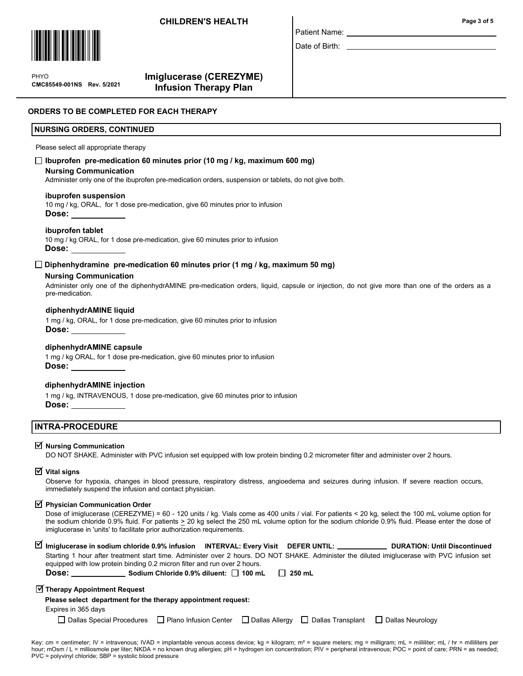## **CHILDREN'S HEALTH Page 3 of 5**



 $\mathbf{P}$ CMC85549-001NS Rev. 5/2021 PHYO

# Imiglucerase (CEREZYME) Infusion Therapy Plan

### ORDERS TO BE COMPLETED FOR FACH THERAPY

### NURSING ORDERS, CONTINUED

Please select all appropriate therapy

## $\Box$  Ibuprofen pre-medication 60 minutes prior (10 mg / kg, maximum 600 mg)

#### Nursing Communication

Administer only one of the ibuprofen pre-medication orders, suspension or tablets, do not give both.

#### ibuprofen suspension

10 mg / kg, ORAL, for 1 dose pre-medication, give 60 minutes prior to infusion Dose:

### ibuprofen tablet

10 mg / kg ORAL, for 1 dose pre-medication, give 60 minutes prior to infusion Dose:

### $\square$  Diphenhydramine pre-medication 60 minutes prior (1 mg / kg, maximum 50 mg)

#### Nursing Communication

Administer only one of the diphenhydrAMINE pre-medication orders, liquid, capsule or injection, do not give more than one of the orders as a pre-medication.

Patient Name: Date of Birth:

#### diphenhydrAMINE liquid

1 mg / kg, ORAL, for 1 dose pre-medication, give 60 minutes prior to infusion Dose:

### diphenhydrAMINE capsule

1 mg / kg ORAL, for 1 dose pre-medication, give 60 minutes prior to infusion Dose:

## diphenhydrAMINE injection

1 mg / kg, INTRAVENOUS, 1 dose pre-medication, give 60 minutes prior to infusion Dose:

## INTRA-PROCEDURE

# $\overline{\triangleleft}$  Nursing Communication

DO NOT SHAKE. Administer with PVC infusion set equipped with low protein binding 0.2 micrometer filter and administer over 2 hours.

# $\overline{\textsf{y}}$  Vital signs

Observe for hypoxia, changes in blood pressure, respiratory distress, angioedema and seizures during infusion. If severe reaction occurs, immediately suspend the infusion and contact physician.

# $\overline{\mathbf{y}}$  Physician Communication Order

Dose of imiglucerase (CEREZYME) = 60 - 120 units / kg. Vials come as 400 units / vial. For patients < 20 kg, select the 100 mL volume option for the sodium chloride 0.9% fluid. For patients > 20 kg select the 250 mL volume option for the sodium chloride 0.9% fluid. Please enter the dose of imiglucerase in 'units' to facilitate prior authorization requirements.

| M Imiglucerase in sodium chloride 0.9% infusion INTERVAL: Every Visit DEFER UNTIL: _____________ DURATION: Until Discontinued                                                                                                                                                               |  |  |  |  |  |
|---------------------------------------------------------------------------------------------------------------------------------------------------------------------------------------------------------------------------------------------------------------------------------------------|--|--|--|--|--|
| Starting 1 hour after treatment start time. Administer over 2 hours. DO NOT SHAKE. Administer the diluted imiglucerase with PVC infusion set<br>equipped with low protein binding 0.2 micron filter and run over 2 hours.                                                                   |  |  |  |  |  |
| Dose: the contract of the contract of the contract of the contract of the contract of the contract of the contract of the contract of the contract of the contract of the contract of the contract of the contract of the cont<br>Sodium Chloride 0.9% diluent: $\Box$ 100 mL $\Box$ 250 mL |  |  |  |  |  |
| $\sqrt{2}$ Therapy Appointment Request                                                                                                                                                                                                                                                      |  |  |  |  |  |
| Please select department for the therapy appointment request:                                                                                                                                                                                                                               |  |  |  |  |  |
| Expires in 365 days                                                                                                                                                                                                                                                                         |  |  |  |  |  |

 $\Box$  Dallas Special Procedures  $\Box$  Plano Infusion Center  $\Box$  Dallas Allergy  $\Box$  Dallas Transplant  $\Box$  Dallas Neurology

Key: cm = centimeter; IV = intravenous; IVAD = implantable venous access device; kg = kilogram; m<sup>2</sup> = square meters; mg = milligram; mL = milliliter; mL / hr = milliliters per hour; mOsm / L = milliosmole per liter; NKDA = no known drug allergies; pH = hydrogen ion concentration; PIV = peripheral intravenous; POC = point of care; PRN = as needed; PVC = polyvinyl chloride; SBP = systolic blood pressure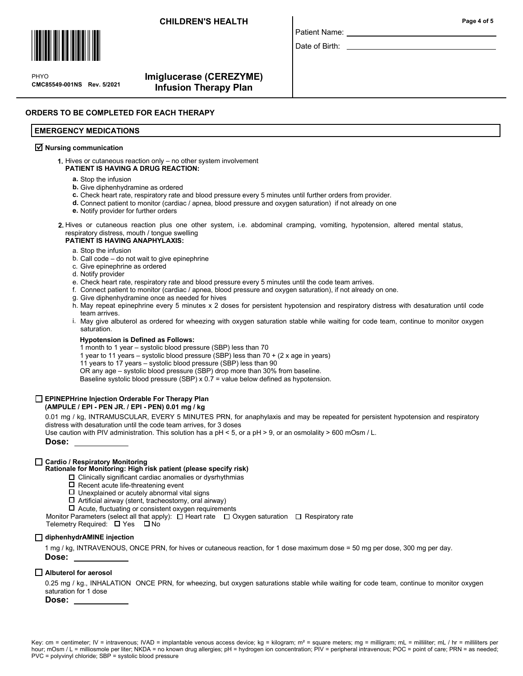## CHILDREN'S HEALTH Page 4 of 5



 $\mathbf{P}$ CMC85549-001NS Rev. 5/2021 PHYO

# Imiglucerase (CEREZYME) Infusion Therapy Plan

# ORDERS TO BE COMPLETED FOR EACH THERAPY

### EMERGENCY MEDICATIONS

# $\overline{\mathcal{Y}}$  Nursing communication

1. Hives or cutaneous reaction only – no other system involvement PATIENT IS HAVING A DRUG REACTION:

- a. Stop the infusion
- **b.** Give diphenhydramine as ordered
- c. Check heart rate, respiratory rate and blood pressure every 5 minutes until further orders from provider.
- d. Connect patient to monitor (cardiac / apnea, blood pressure and oxygen saturation) if not already on one
- e. Notify provider for further orders
- 2. Hives or cutaneous reaction plus one other system, i.e. abdominal cramping, vomiting, hypotension, altered mental status, respiratory distress, mouth / tongue swelling

### PATIENT IS HAVING ANAPHYLAXIS:

- a. Stop the infusion
- b. Call code do not wait to give epinephrine
- c. Give epinephrine as ordered
- d. Notify provider
- e. Check heart rate, respiratory rate and blood pressure every 5 minutes until the code team arrives.
- f. Connect patient to monitor (cardiac / apnea, blood pressure and oxygen saturation), if not already on one.
- Give diphenhydramine once as needed for hives g.
- h. May repeat epinephrine every 5 minutes x 2 doses for persistent hypotension and respiratory distress with desaturation until code team arrives.

Patient Name: Date of Birth:

May give albuterol as ordered for wheezing with oxygen saturation stable while waiting for code team, continue to monitor oxygen i. saturation.

#### Hypotension is Defined as Follows:

- 1 month to 1 year systolic blood pressure (SBP) less than 70
- 1 year to 11 years systolic blood pressure (SBP) less than 70 + (2 x age in years)
- 11 years to 17 years systolic blood pressure (SBP) less than 90
- OR any age systolic blood pressure (SBP) drop more than 30% from baseline.

Baseline systolic blood pressure (SBP)  $x$  0.7 = value below defined as hypotension.

# EPINEPHrine Injection Orderable For Therapy Plan

## (AMPULE / EPI - PEN JR. / EPI - PEN) 0.01 mg / kg

0.01 mg / kg, INTRAMUSCULAR, EVERY 5 MINUTES PRN, for anaphylaxis and may be repeated for persistent hypotension and respiratory distress with desaturation until the code team arrives, for 3 doses

Use caution with PIV administration. This solution has a pH < 5, or a pH > 9, or an osmolality > 600 mOsm / L.

Dose:

### □ Cardio / Respiratory Monitoring

# Rationale for Monitoring: High risk patient (please specify risk)

- $\Box$  Clinically significant cardiac anomalies or dysrhythmias
- $\square$  Recent acute life-threatening event
- $\square$  Unexplained or acutely abnormal vital signs
- $\Box$  Artificial airway (stent, tracheostomy, oral airway)
- $\Box$  Acute, fluctuating or consistent oxygen requirements
- Monitor Parameters (select all that apply):  $\Box$  Heart rate  $\Box$  Oxygen saturation  $\Box$  Respiratory rate

Telemetry Required:  $\Box$  Yes  $\Box$  No

# □ diphenhydrAMINE injection

1 mg / kg, INTRAVENOUS, ONCE PRN, for hives or cutaneous reaction, for 1 dose maximum dose = 50 mg per dose, 300 mg per day. Dose:

# $\Box$  Albuterol for aerosol

0.25 mg / kg., INHALATION ONCE PRN, for wheezing, but oxygen saturations stable while waiting for code team, continue to monitor oxygen saturation for 1 dose

# Dose: